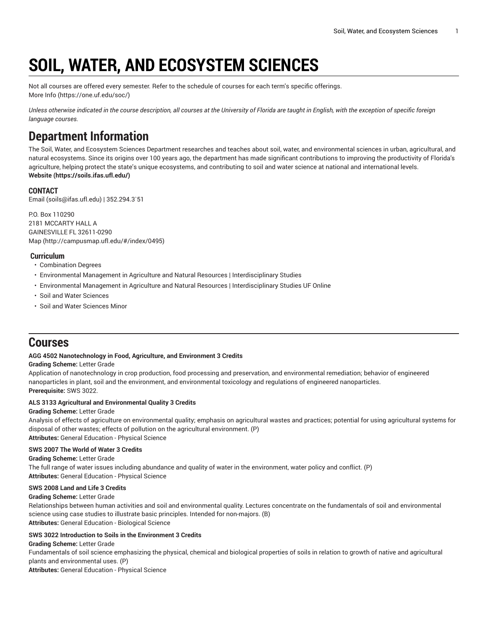# **SOIL, WATER, AND ECOSYSTEM SCIENCES**

Not all courses are offered every semester. Refer to the schedule of courses for each term's specific offerings. [More](https://one.uf.edu/soc/) Info [\(https://one.uf.edu/soc/](https://one.uf.edu/soc/))

Unless otherwise indicated in the course description, all courses at the University of Florida are taught in English, with the exception of specific foreign *language courses.*

## **Department Information**

The Soil, Water, and Ecosystem Sciences Department researches and teaches about soil, water, and environmental sciences in urban, agricultural, and natural ecosystems. Since its origins over 100 years ago, the department has made significant contributions to improving the productivity of Florida's agriculture, helping protect the state's unique ecosystems, and contributing to soil and water science at national and international levels. **[Website](https://soils.ifas.ufl.edu/) ([https://soils.ifas.ufl.edu/\)](https://soils.ifas.ufl.edu/)**

## **CONTACT**

[Email](mailto:soils@ifas.ufl.edu) (<soils@ifas.ufl.edu>) | 352.294.3`51

P.O. Box 110290 2181 MCCARTY HALL A GAINESVILLE FL 32611-0290 [Map](http://campusmap.ufl.edu/#/index/0495) ([http://campusmap.ufl.edu/#/index/0495\)](http://campusmap.ufl.edu/#/index/0495)

## **Curriculum**

- Combination Degrees
- Environmental Management in Agriculture and Natural Resources | Interdisciplinary Studies
- Environmental Management in Agriculture and Natural Resources | Interdisciplinary Studies UF Online
- Soil and Water Sciences
- Soil and Water Sciences Minor

## **Courses**

## **AGG 4502 Nanotechnology in Food, Agriculture, and Environment 3 Credits**

## **Grading Scheme:** Letter Grade

Application of nanotechnology in crop production, food processing and preservation, and environmental remediation; behavior of engineered nanoparticles in plant, soil and the environment, and environmental toxicology and regulations of engineered nanoparticles. **Prerequisite:** SWS 3022.

## **ALS 3133 Agricultural and Environmental Quality 3 Credits**

## **Grading Scheme:** Letter Grade

Analysis of effects of agriculture on environmental quality; emphasis on agricultural wastes and practices; potential for using agricultural systems for disposal of other wastes; effects of pollution on the agricultural environment. (P) **Attributes:** General Education - Physical Science

## **SWS 2007 The World of Water 3 Credits**

## **Grading Scheme:** Letter Grade

The full range of water issues including abundance and quality of water in the environment, water policy and conflict. (P) **Attributes:** General Education - Physical Science

## **SWS 2008 Land and Life 3 Credits**

## **Grading Scheme:** Letter Grade

Relationships between human activities and soil and environmental quality. Lectures concentrate on the fundamentals of soil and environmental science using case studies to illustrate basic principles. Intended for non-majors. (B) **Attributes:** General Education - Biological Science

## **SWS 3022 Introduction to Soils in the Environment 3 Credits**

**Grading Scheme:** Letter Grade Fundamentals of soil science emphasizing the physical, chemical and biological properties of soils in relation to growth of native and agricultural plants and environmental uses. (P) **Attributes:** General Education - Physical Science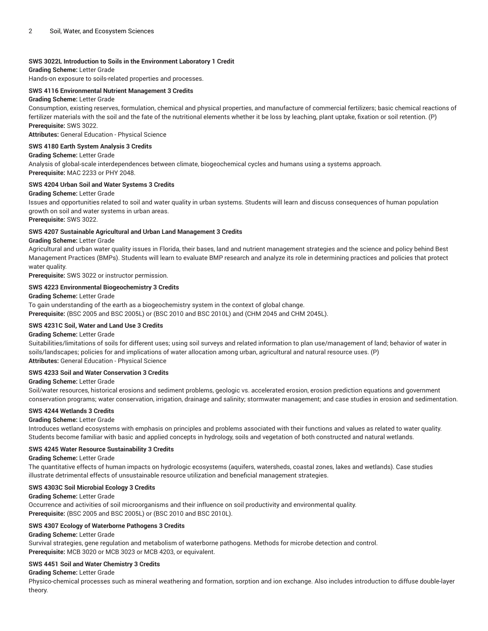## **SWS 3022L Introduction to Soils in the Environment Laboratory 1 Credit**

**Grading Scheme:** Letter Grade

Hands-on exposure to soils-related properties and processes.

## **SWS 4116 Environmental Nutrient Management 3 Credits**

## **Grading Scheme:** Letter Grade

Consumption, existing reserves, formulation, chemical and physical properties, and manufacture of commercial fertilizers; basic chemical reactions of fertilizer materials with the soil and the fate of the nutritional elements whether it be loss by leaching, plant uptake, fixation or soil retention. (P) **Prerequisite:** SWS 3022.

**Attributes:** General Education - Physical Science

## **SWS 4180 Earth System Analysis 3 Credits**

#### **Grading Scheme:** Letter Grade

Analysis of global-scale interdependences between climate, biogeochemical cycles and humans using a systems approach. **Prerequisite:** MAC 2233 or PHY 2048.

## **SWS 4204 Urban Soil and Water Systems 3 Credits**

#### **Grading Scheme:** Letter Grade

Issues and opportunities related to soil and water quality in urban systems. Students will learn and discuss consequences of human population growth on soil and water systems in urban areas.

**Prerequisite:** SWS 3022.

#### **SWS 4207 Sustainable Agricultural and Urban Land Management 3 Credits**

## **Grading Scheme:** Letter Grade

Agricultural and urban water quality issues in Florida, their bases, land and nutrient management strategies and the science and policy behind Best Management Practices (BMPs). Students will learn to evaluate BMP research and analyze its role in determining practices and policies that protect water quality.

**Prerequisite:** SWS 3022 or instructor permission.

## **SWS 4223 Environmental Biogeochemistry 3 Credits**

#### **Grading Scheme:** Letter Grade

To gain understanding of the earth as a biogeochemistry system in the context of global change.

**Prerequisite:** (BSC 2005 and BSC 2005L) or (BSC 2010 and BSC 2010L) and (CHM 2045 and CHM 2045L).

## **SWS 4231C Soil, Water and Land Use 3 Credits**

#### **Grading Scheme:** Letter Grade

Suitabilities/limitations of soils for different uses; using soil surveys and related information to plan use/management of land; behavior of water in soils/landscapes; policies for and implications of water allocation among urban, agricultural and natural resource uses. (P) **Attributes:** General Education - Physical Science

## **SWS 4233 Soil and Water Conservation 3 Credits**

## **Grading Scheme:** Letter Grade

Soil/water resources, historical erosions and sediment problems, geologic vs. accelerated erosion, erosion prediction equations and government conservation programs; water conservation, irrigation, drainage and salinity; stormwater management; and case studies in erosion and sedimentation.

## **SWS 4244 Wetlands 3 Credits**

## **Grading Scheme:** Letter Grade

Introduces wetland ecosystems with emphasis on principles and problems associated with their functions and values as related to water quality. Students become familiar with basic and applied concepts in hydrology, soils and vegetation of both constructed and natural wetlands.

## **SWS 4245 Water Resource Sustainability 3 Credits**

#### **Grading Scheme:** Letter Grade

The quantitative effects of human impacts on hydrologic ecosystems (aquifers, watersheds, coastal zones, lakes and wetlands). Case studies illustrate detrimental effects of unsustainable resource utilization and beneficial management strategies.

## **SWS 4303C Soil Microbial Ecology 3 Credits**

#### **Grading Scheme:** Letter Grade

Occurrence and activities of soil microorganisms and their influence on soil productivity and environmental quality. **Prerequisite:** (BSC 2005 and BSC 2005L) or (BSC 2010 and BSC 2010L).

## **SWS 4307 Ecology of Waterborne Pathogens 3 Credits**

## **Grading Scheme:** Letter Grade

Survival strategies, gene regulation and metabolism of waterborne pathogens. Methods for microbe detection and control. **Prerequisite:** MCB 3020 or MCB 3023 or MCB 4203, or equivalent.

## **SWS 4451 Soil and Water Chemistry 3 Credits**

## **Grading Scheme:** Letter Grade

Physico-chemical processes such as mineral weathering and formation, sorption and ion exchange. Also includes introduction to diffuse double-layer theory.